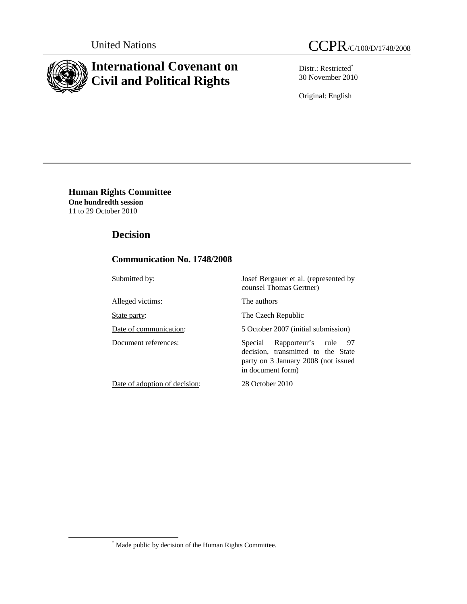

# **International Covenant on Civil and Political Rights**

Distr.: Restricted\* 30 November 2010

Original: English

**Human Rights Committee One hundredth session**  11 to 29 October 2010

## **Decision**

## **Communication No. 1748/2008**

Submitted by: Josef Bergauer et al. (represented by counsel Thomas Gertner) Alleged victims: The authors State party: The Czech Republic Date of communication: 5 October 2007 (initial submission) Document references: Special Rapporteur's rule 97 decision, transmitted to the State party on 3 January 2008 (not issued in document form) Date of adoption of decision: 28 October 2010

 $\overline{\phantom{a}}$ Made public by decision of the Human Rights Committee.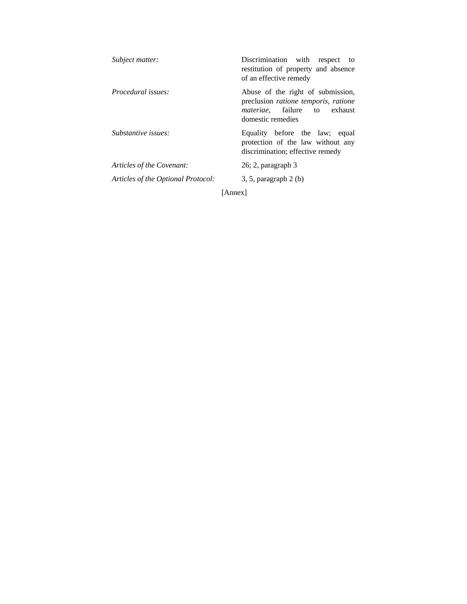| Subject matter:                    | Discrimination with<br>respect to<br>restitution of property and absence<br>of an effective remedy                                                    |
|------------------------------------|-------------------------------------------------------------------------------------------------------------------------------------------------------|
| <i>Procedural issues:</i>          | Abuse of the right of submission,<br>preclusion <i>ratione temporis</i> , <i>ratione</i><br><i>materiae</i> , failure to exhaust<br>domestic remedies |
| Substantive issues:                | Equality before the law; equal<br>protection of the law without any<br>discrimination; effective remedy                                               |
| Articles of the Covenant:          | $26; 2$ , paragraph $3$                                                                                                                               |
| Articles of the Optional Protocol: | $3, 5$ , paragraph $2(b)$                                                                                                                             |

[Annex]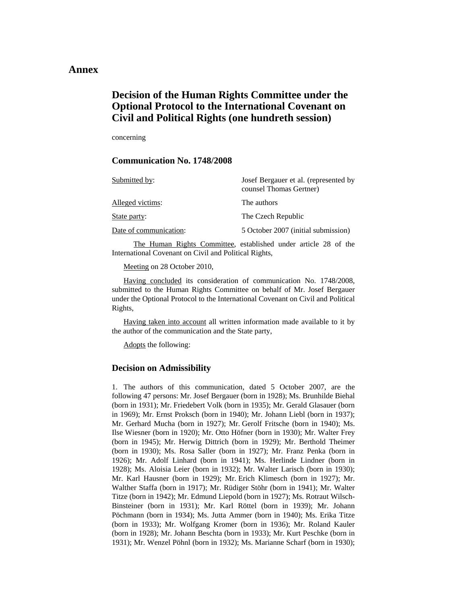### **Annex**

# **Decision of the Human Rights Committee under the Optional Protocol to the International Covenant on Civil and Political Rights (one hundreth session)**

concerning

### **Communication No. 1748/2008**

| Submitted by:          | Josef Bergauer et al. (represented by<br>counsel Thomas Gertner) |
|------------------------|------------------------------------------------------------------|
| Alleged victims:       | The authors                                                      |
| State party:           | The Czech Republic                                               |
| Date of communication: | 5 October 2007 (initial submission)                              |

The Human Rights Committee, established under article 28 of the International Covenant on Civil and Political Rights,

Meeting on 28 October 2010,

 Having concluded its consideration of communication No. 1748/2008, submitted to the Human Rights Committee on behalf of Mr. Josef Bergauer under the Optional Protocol to the International Covenant on Civil and Political Rights,

 Having taken into account all written information made available to it by the author of the communication and the State party,

Adopts the following:

#### **Decision on Admissibility**

1. The authors of this communication, dated 5 October 2007, are the following 47 persons: Mr. Josef Bergauer (born in 1928); Ms. Brunhilde Biehal (born in 1931); Mr. Friedebert Volk (born in 1935); Mr. Gerald Glasauer (born in 1969); Mr. Ernst Proksch (born in 1940); Mr. Johann Liebl (born in 1937); Mr. Gerhard Mucha (born in 1927); Mr. Gerolf Fritsche (born in 1940); Ms. Ilse Wiesner (born in 1920); Mr. Otto Höfner (born in 1930); Mr. Walter Frey (born in 1945); Mr. Herwig Dittrich (born in 1929); Mr. Berthold Theimer (born in 1930); Ms. Rosa Saller (born in 1927); Mr. Franz Penka (born in 1926); Mr. Adolf Linhard (born in 1941); Ms. Herlinde Lindner (born in 1928); Ms. Aloisia Leier (born in 1932); Mr. Walter Larisch (born in 1930); Mr. Karl Hausner (born in 1929); Mr. Erich Klimesch (born in 1927); Mr. Walther Staffa (born in 1917); Mr. Rüdiger Stöhr (born in 1941); Mr. Walter Titze (born in 1942); Mr. Edmund Liepold (born in 1927); Ms. Rotraut Wilsch-Binsteiner (born in 1931); Mr. Karl Röttel (born in 1939); Mr. Johann Pöchmann (born in 1934); Ms. Jutta Ammer (born in 1940); Ms. Erika Titze (born in 1933); Mr. Wolfgang Kromer (born in 1936); Mr. Roland Kauler (born in 1928); Mr. Johann Beschta (born in 1933); Mr. Kurt Peschke (born in 1931); Mr. Wenzel Pöhnl (born in 1932); Ms. Marianne Scharf (born in 1930);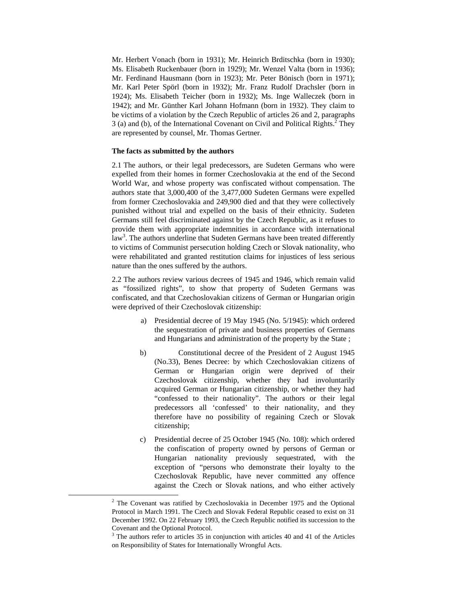Mr. Herbert Vonach (born in 1931); Mr. Heinrich Brditschka (born in 1930); Ms. Elisabeth Ruckenbauer (born in 1929); Mr. Wenzel Valta (born in 1936); Mr. Ferdinand Hausmann (born in 1923); Mr. Peter Bönisch (born in 1971); Mr. Karl Peter Spörl (born in 1932); Mr. Franz Rudolf Drachsler (born in 1924); Ms. Elisabeth Teicher (born in 1932); Ms. Inge Walleczek (born in 1942); and Mr. Günther Karl Johann Hofmann (born in 1932). They claim to be victims of a violation by the Czech Republic of articles 26 and 2, paragraphs  $3$  (a) and (b), of the International Covenant on Civil and Political Rights.<sup>2</sup> They are represented by counsel, Mr. Thomas Gertner.

#### **The facts as submitted by the authors**

2.1 The authors, or their legal predecessors, are Sudeten Germans who were expelled from their homes in former Czechoslovakia at the end of the Second World War, and whose property was confiscated without compensation. The authors state that 3,000,400 of the 3,477,000 Sudeten Germans were expelled from former Czechoslovakia and 249,900 died and that they were collectively punished without trial and expelled on the basis of their ethnicity. Sudeten Germans still feel discriminated against by the Czech Republic, as it refuses to provide them with appropriate indemnities in accordance with international law<sup>3</sup>. The authors underline that Sudeten Germans have been treated differently to victims of Communist persecution holding Czech or Slovak nationality, who were rehabilitated and granted restitution claims for injustices of less serious nature than the ones suffered by the authors.

2.2 The authors review various decrees of 1945 and 1946, which remain valid as "fossilized rights", to show that property of Sudeten Germans was confiscated, and that Czechoslovakian citizens of German or Hungarian origin were deprived of their Czechoslovak citizenship:

- a) Presidential decree of 19 May 1945 (No. 5/1945): which ordered the sequestration of private and business properties of Germans and Hungarians and administration of the property by the State ;
- b) Constitutional decree of the President of 2 August 1945 (No.33), Benes Decree: by which Czechoslovakian citizens of German or Hungarian origin were deprived of their Czechoslovak citizenship, whether they had involuntarily acquired German or Hungarian citizenship, or whether they had "confessed to their nationality". The authors or their legal predecessors all 'confessed' to their nationality, and they therefore have no possibility of regaining Czech or Slovak citizenship;
- c) Presidential decree of 25 October 1945 (No. 108): which ordered the confiscation of property owned by persons of German or Hungarian nationality previously sequestrated, with the exception of "persons who demonstrate their loyalty to the Czechoslovak Republic, have never committed any offence against the Czech or Slovak nations, and who either actively

 <sup>2</sup>  $2$  The Covenant was ratified by Czechoslovakia in December 1975 and the Optional Protocol in March 1991. The Czech and Slovak Federal Republic ceased to exist on 31 December 1992. On 22 February 1993, the Czech Republic notified its succession to the Covenant and the Optional Protocol.

<sup>&</sup>lt;sup>3</sup> The authors refer to articles 35 in conjunction with articles 40 and 41 of the Articles on Responsibility of States for Internationally Wrongful Acts.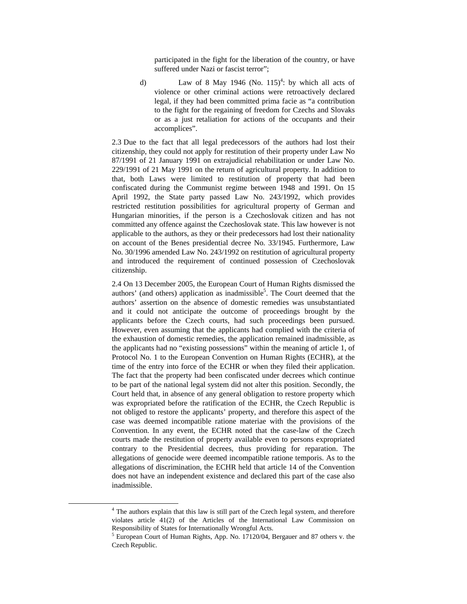participated in the fight for the liberation of the country, or have suffered under Nazi or fascist terror";

d) Law of 8 May 1946 (No.  $115)^4$ : by which all acts of violence or other criminal actions were retroactively declared legal, if they had been committed prima facie as "a contribution to the fight for the regaining of freedom for Czechs and Slovaks or as a just retaliation for actions of the occupants and their accomplices".

2.3 Due to the fact that all legal predecessors of the authors had lost their citizenship, they could not apply for restitution of their property under Law No 87/1991 of 21 January 1991 on extrajudicial rehabilitation or under Law No. 229/1991 of 21 May 1991 on the return of agricultural property. In addition to that, both Laws were limited to restitution of property that had been confiscated during the Communist regime between 1948 and 1991. On 15 April 1992, the State party passed Law No. 243/1992, which provides restricted restitution possibilities for agricultural property of German and Hungarian minorities, if the person is a Czechoslovak citizen and has not committed any offence against the Czechoslovak state. This law however is not applicable to the authors, as they or their predecessors had lost their nationality on account of the Benes presidential decree No. 33/1945. Furthermore, Law No. 30/1996 amended Law No. 243/1992 on restitution of agricultural property and introduced the requirement of continued possession of Czechoslovak citizenship.

2.4 On 13 December 2005, the European Court of Human Rights dismissed the authors' (and others) application as inadmissible<sup>5</sup>. The Court deemed that the authors' assertion on the absence of domestic remedies was unsubstantiated and it could not anticipate the outcome of proceedings brought by the applicants before the Czech courts, had such proceedings been pursued. However, even assuming that the applicants had complied with the criteria of the exhaustion of domestic remedies, the application remained inadmissible, as the applicants had no "existing possessions" within the meaning of article 1, of Protocol No. 1 to the European Convention on Human Rights (ECHR), at the time of the entry into force of the ECHR or when they filed their application. The fact that the property had been confiscated under decrees which continue to be part of the national legal system did not alter this position. Secondly, the Court held that, in absence of any general obligation to restore property which was expropriated before the ratification of the ECHR, the Czech Republic is not obliged to restore the applicants' property, and therefore this aspect of the case was deemed incompatible ratione materiae with the provisions of the Convention. In any event, the ECHR noted that the case-law of the Czech courts made the restitution of property available even to persons expropriated contrary to the Presidential decrees, thus providing for reparation. The allegations of genocide were deemed incompatible ratione temporis. As to the allegations of discrimination, the ECHR held that article 14 of the Convention does not have an independent existence and declared this part of the case also inadmissible.

 <sup>4</sup> <sup>4</sup> The authors explain that this law is still part of the Czech legal system, and therefore violates article 41(2) of the Articles of the International Law Commission on Responsibility of States for Internationally Wrongful Acts.

<sup>&</sup>lt;sup>5</sup> European Court of Human Rights, App. No. 17120/04, Bergauer and 87 others v. the Czech Republic.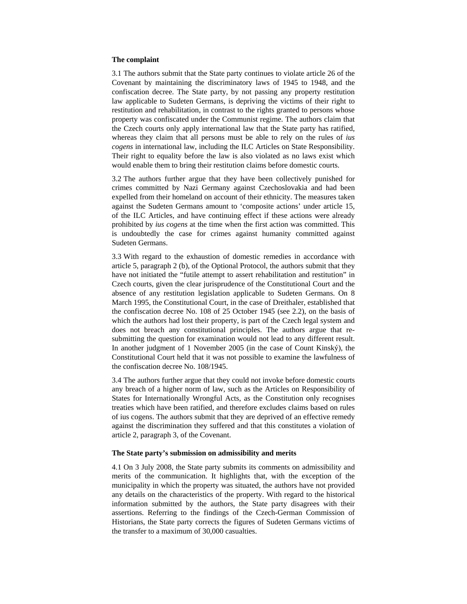#### **The complaint**

3.1 The authors submit that the State party continues to violate article 26 of the Covenant by maintaining the discriminatory laws of 1945 to 1948, and the confiscation decree. The State party, by not passing any property restitution law applicable to Sudeten Germans, is depriving the victims of their right to restitution and rehabilitation, in contrast to the rights granted to persons whose property was confiscated under the Communist regime. The authors claim that the Czech courts only apply international law that the State party has ratified, whereas they claim that all persons must be able to rely on the rules of *ius cogens* in international law, including the ILC Articles on State Responsibility. Their right to equality before the law is also violated as no laws exist which would enable them to bring their restitution claims before domestic courts.

3.2 The authors further argue that they have been collectively punished for crimes committed by Nazi Germany against Czechoslovakia and had been expelled from their homeland on account of their ethnicity. The measures taken against the Sudeten Germans amount to 'composite actions' under article 15, of the ILC Articles, and have continuing effect if these actions were already prohibited by *ius cogens* at the time when the first action was committed. This is undoubtedly the case for crimes against humanity committed against Sudeten Germans.

3.3 With regard to the exhaustion of domestic remedies in accordance with article 5, paragraph 2 (b), of the Optional Protocol, the authors submit that they have not initiated the "futile attempt to assert rehabilitation and restitution" in Czech courts, given the clear jurisprudence of the Constitutional Court and the absence of any restitution legislation applicable to Sudeten Germans. On 8 March 1995, the Constitutional Court, in the case of Dreithaler, established that the confiscation decree No. 108 of 25 October 1945 (see 2.2), on the basis of which the authors had lost their property, is part of the Czech legal system and does not breach any constitutional principles. The authors argue that resubmitting the question for examination would not lead to any different result. In another judgment of 1 November 2005 (in the case of Count Kinský), the Constitutional Court held that it was not possible to examine the lawfulness of the confiscation decree No. 108/1945.

3.4 The authors further argue that they could not invoke before domestic courts any breach of a higher norm of law, such as the Articles on Responsibility of States for Internationally Wrongful Acts, as the Constitution only recognises treaties which have been ratified, and therefore excludes claims based on rules of ius cogens. The authors submit that they are deprived of an effective remedy against the discrimination they suffered and that this constitutes a violation of article 2, paragraph 3, of the Covenant.

#### **The State party's submission on admissibility and merits**

4.1 On 3 July 2008, the State party submits its comments on admissibility and merits of the communication. It highlights that, with the exception of the municipality in which the property was situated, the authors have not provided any details on the characteristics of the property. With regard to the historical information submitted by the authors, the State party disagrees with their assertions. Referring to the findings of the Czech-German Commission of Historians, the State party corrects the figures of Sudeten Germans victims of the transfer to a maximum of 30,000 casualties.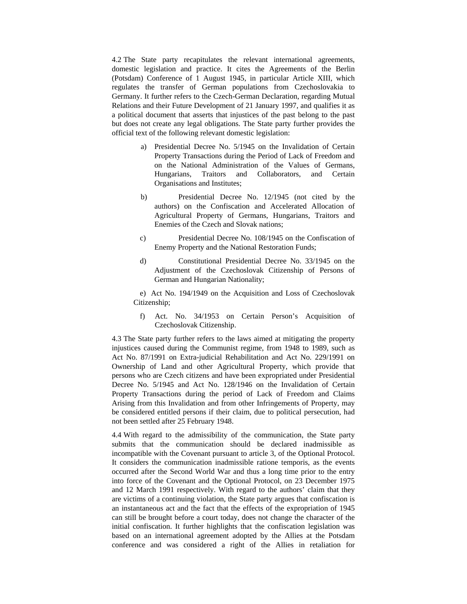4.2 The State party recapitulates the relevant international agreements, domestic legislation and practice. It cites the Agreements of the Berlin (Potsdam) Conference of 1 August 1945, in particular Article XIII, which regulates the transfer of German populations from Czechoslovakia to Germany. It further refers to the Czech-German Declaration, regarding Mutual Relations and their Future Development of 21 January 1997, and qualifies it as a political document that asserts that injustices of the past belong to the past but does not create any legal obligations. The State party further provides the official text of the following relevant domestic legislation:

- a) Presidential Decree No. 5/1945 on the Invalidation of Certain Property Transactions during the Period of Lack of Freedom and on the National Administration of the Values of Germans, Hungarians, Traitors and Collaborators, and Certain Organisations and Institutes;
- b) Presidential Decree No. 12/1945 (not cited by the authors) on the Confiscation and Accelerated Allocation of Agricultural Property of Germans, Hungarians, Traitors and Enemies of the Czech and Slovak nations;
- c) Presidential Decree No. 108/1945 on the Confiscation of Enemy Property and the National Restoration Funds;
- d) Constitutional Presidential Decree No. 33/1945 on the Adjustment of the Czechoslovak Citizenship of Persons of German and Hungarian Nationality;

e) Act No. 194/1949 on the Acquisition and Loss of Czechoslovak Citizenship;

f) Act. No. 34/1953 on Certain Person's Acquisition of Czechoslovak Citizenship.

4.3 The State party further refers to the laws aimed at mitigating the property injustices caused during the Communist regime, from 1948 to 1989, such as Act No. 87/1991 on Extra-judicial Rehabilitation and Act No. 229/1991 on Ownership of Land and other Agricultural Property, which provide that persons who are Czech citizens and have been expropriated under Presidential Decree No. 5/1945 and Act No. 128/1946 on the Invalidation of Certain Property Transactions during the period of Lack of Freedom and Claims Arising from this Invalidation and from other Infringements of Property, may be considered entitled persons if their claim, due to political persecution, had not been settled after 25 February 1948.

4.4 With regard to the admissibility of the communication, the State party submits that the communication should be declared inadmissible as incompatible with the Covenant pursuant to article 3, of the Optional Protocol. It considers the communication inadmissible ratione temporis, as the events occurred after the Second World War and thus a long time prior to the entry into force of the Covenant and the Optional Protocol, on 23 December 1975 and 12 March 1991 respectively. With regard to the authors' claim that they are victims of a continuing violation, the State party argues that confiscation is an instantaneous act and the fact that the effects of the expropriation of 1945 can still be brought before a court today, does not change the character of the initial confiscation. It further highlights that the confiscation legislation was based on an international agreement adopted by the Allies at the Potsdam conference and was considered a right of the Allies in retaliation for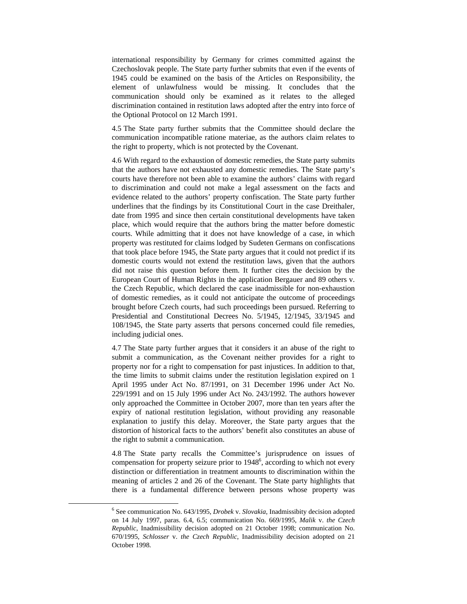international responsibility by Germany for crimes committed against the Czechoslovak people. The State party further submits that even if the events of 1945 could be examined on the basis of the Articles on Responsibility, the element of unlawfulness would be missing. It concludes that the communication should only be examined as it relates to the alleged discrimination contained in restitution laws adopted after the entry into force of the Optional Protocol on 12 March 1991.

4.5 The State party further submits that the Committee should declare the communication incompatible ratione materiae, as the authors claim relates to the right to property, which is not protected by the Covenant.

4.6 With regard to the exhaustion of domestic remedies, the State party submits that the authors have not exhausted any domestic remedies. The State party's courts have therefore not been able to examine the authors' claims with regard to discrimination and could not make a legal assessment on the facts and evidence related to the authors' property confiscation. The State party further underlines that the findings by its Constitutional Court in the case Dreithaler, date from 1995 and since then certain constitutional developments have taken place, which would require that the authors bring the matter before domestic courts. While admitting that it does not have knowledge of a case, in which property was restituted for claims lodged by Sudeten Germans on confiscations that took place before 1945, the State party argues that it could not predict if its domestic courts would not extend the restitution laws, given that the authors did not raise this question before them. It further cites the decision by the European Court of Human Rights in the application Bergauer and 89 others v. the Czech Republic, which declared the case inadmissible for non-exhaustion of domestic remedies, as it could not anticipate the outcome of proceedings brought before Czech courts, had such proceedings been pursued. Referring to Presidential and Constitutional Decrees No. 5/1945, 12/1945, 33/1945 and 108/1945, the State party asserts that persons concerned could file remedies, including judicial ones.

4.7 The State party further argues that it considers it an abuse of the right to submit a communication, as the Covenant neither provides for a right to property nor for a right to compensation for past injustices. In addition to that, the time limits to submit claims under the restitution legislation expired on 1 April 1995 under Act No. 87/1991, on 31 December 1996 under Act No. 229/1991 and on 15 July 1996 under Act No. 243/1992. The authors however only approached the Committee in October 2007, more than ten years after the expiry of national restitution legislation, without providing any reasonable explanation to justify this delay. Moreover, the State party argues that the distortion of historical facts to the authors' benefit also constitutes an abuse of the right to submit a communication.

4.8 The State party recalls the Committee's jurisprudence on issues of compensation for property seizure prior to  $1948<sup>6</sup>$ , according to which not every distinction or differentiation in treatment amounts to discrimination within the meaning of articles 2 and 26 of the Covenant. The State party highlights that there is a fundamental difference between persons whose property was

 $\overline{\phantom{a}}$ <sup>6</sup> See communication No. 643/1995, *Drobek v. Slovakia*, Inadmissibity decision adopted on 14 July 1997, paras. 6.4, 6.5; communication No. 669/1995, *Malik* v. *the Czech Republic*, Inadmissibility decision adopted on 21 October 1998; communication No. 670/1995, *Schlosser* v. *the Czech Republic*, Inadmissibility decision adopted on 21 October 1998.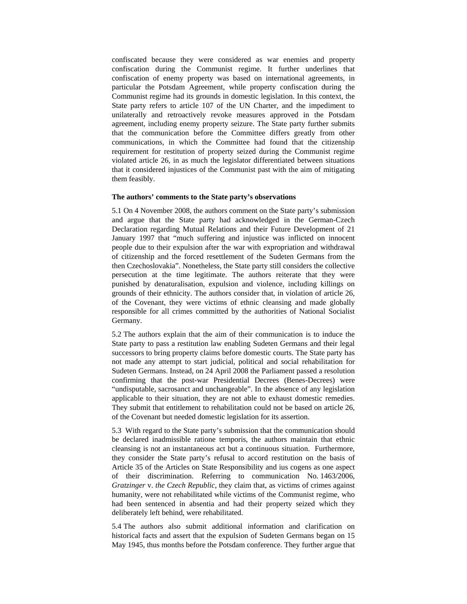confiscated because they were considered as war enemies and property confiscation during the Communist regime. It further underlines that confiscation of enemy property was based on international agreements, in particular the Potsdam Agreement, while property confiscation during the Communist regime had its grounds in domestic legislation. In this context, the State party refers to article 107 of the UN Charter, and the impediment to unilaterally and retroactively revoke measures approved in the Potsdam agreement, including enemy property seizure. The State party further submits that the communication before the Committee differs greatly from other communications, in which the Committee had found that the citizenship requirement for restitution of property seized during the Communist regime violated article 26, in as much the legislator differentiated between situations that it considered injustices of the Communist past with the aim of mitigating them feasibly.

#### **The authors' comments to the State party's observations**

5.1 On 4 November 2008, the authors comment on the State party's submission and argue that the State party had acknowledged in the German-Czech Declaration regarding Mutual Relations and their Future Development of 21 January 1997 that "much suffering and injustice was inflicted on innocent people due to their expulsion after the war with expropriation and withdrawal of citizenship and the forced resettlement of the Sudeten Germans from the then Czechoslovakia". Nonetheless, the State party still considers the collective persecution at the time legitimate. The authors reiterate that they were punished by denaturalisation, expulsion and violence, including killings on grounds of their ethnicity. The authors consider that, in violation of article 26, of the Covenant, they were victims of ethnic cleansing and made globally responsible for all crimes committed by the authorities of National Socialist Germany.

5.2 The authors explain that the aim of their communication is to induce the State party to pass a restitution law enabling Sudeten Germans and their legal successors to bring property claims before domestic courts. The State party has not made any attempt to start judicial, political and social rehabilitation for Sudeten Germans. Instead, on 24 April 2008 the Parliament passed a resolution confirming that the post-war Presidential Decrees (Benes-Decrees) were "undisputable, sacrosanct and unchangeable". In the absence of any legislation applicable to their situation, they are not able to exhaust domestic remedies. They submit that entitlement to rehabilitation could not be based on article 26, of the Covenant but needed domestic legislation for its assertion.

5.3 With regard to the State party's submission that the communication should be declared inadmissible ratione temporis, the authors maintain that ethnic cleansing is not an instantaneous act but a continuous situation. Furthermore, they consider the State party's refusal to accord restitution on the basis of Article 35 of the Articles on State Responsibility and ius cogens as one aspect of their discrimination. Referring to communication No. 1463/2006, *Gratzinger* v. *the Czech Republic*, they claim that, as victims of crimes against humanity, were not rehabilitated while victims of the Communist regime, who had been sentenced in absentia and had their property seized which they deliberately left behind, were rehabilitated.

5.4 The authors also submit additional information and clarification on historical facts and assert that the expulsion of Sudeten Germans began on 15 May 1945, thus months before the Potsdam conference. They further argue that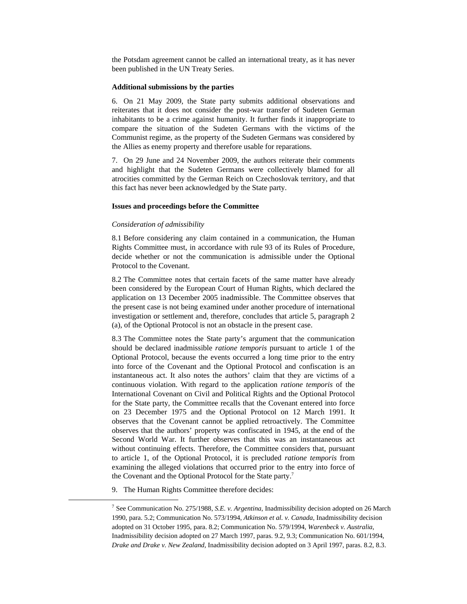the Potsdam agreement cannot be called an international treaty, as it has never been published in the UN Treaty Series.

#### **Additional submissions by the parties**

6. On 21 May 2009, the State party submits additional observations and reiterates that it does not consider the post-war transfer of Sudeten German inhabitants to be a crime against humanity. It further finds it inappropriate to compare the situation of the Sudeten Germans with the victims of the Communist regime, as the property of the Sudeten Germans was considered by the Allies as enemy property and therefore usable for reparations.

7. On 29 June and 24 November 2009, the authors reiterate their comments and highlight that the Sudeten Germans were collectively blamed for all atrocities committed by the German Reich on Czechoslovak territory, and that this fact has never been acknowledged by the State party.

#### **Issues and proceedings before the Committee**

#### *Consideration of admissibility*

8.1 Before considering any claim contained in a communication, the Human Rights Committee must, in accordance with rule 93 of its Rules of Procedure, decide whether or not the communication is admissible under the Optional Protocol to the Covenant.

8.2 The Committee notes that certain facets of the same matter have already been considered by the European Court of Human Rights, which declared the application on 13 December 2005 inadmissible. The Committee observes that the present case is not being examined under another procedure of international investigation or settlement and, therefore, concludes that article 5, paragraph 2 (a), of the Optional Protocol is not an obstacle in the present case.

8.3 The Committee notes the State party's argument that the communication should be declared inadmissible *ratione temporis* pursuant to article 1 of the Optional Protocol, because the events occurred a long time prior to the entry into force of the Covenant and the Optional Protocol and confiscation is an instantaneous act. It also notes the authors' claim that they are victims of a continuous violation. With regard to the application *ratione temporis* of the International Covenant on Civil and Political Rights and the Optional Protocol for the State party, the Committee recalls that the Covenant entered into force on 23 December 1975 and the Optional Protocol on 12 March 1991. It observes that the Covenant cannot be applied retroactively. The Committee observes that the authors' property was confiscated in 1945, at the end of the Second World War. It further observes that this was an instantaneous act without continuing effects. Therefore, the Committee considers that, pursuant to article 1, of the Optional Protocol, it is precluded *ratione temporis* from examining the alleged violations that occurred prior to the entry into force of the Covenant and the Optional Protocol for the State party.<sup>7</sup>

9. The Human Rights Committee therefore decides:

 <sup>7</sup> See Communication No. 275/1988, *S.E. v. Argentina*, Inadmissibility decision adopted on 26 March 1990, para. 5.2; Communication No. 573/1994, *Atkinson et al. v. Canada*, Inadmissibility decision adopted on 31 October 1995, para. 8.2; Communication No. 579/1994, *Warenbeck v. Australia*, Inadmissibility decision adopted on 27 March 1997, paras. 9.2, 9.3; Communication No. 601/1994, *Drake and Drake v. New Zealand*, Inadmissibility decision adopted on 3 April 1997, paras. 8.2, 8.3.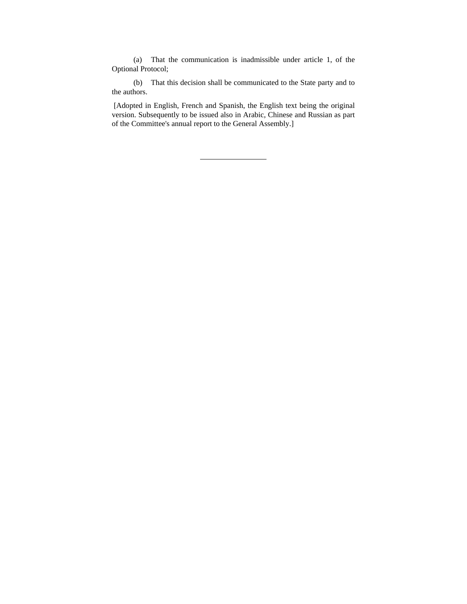(a) That the communication is inadmissible under article 1, of the Optional Protocol;

(b) That this decision shall be communicated to the State party and to the authors.

 [Adopted in English, French and Spanish, the English text being the original version. Subsequently to be issued also in Arabic, Chinese and Russian as part of the Committee's annual report to the General Assembly.]

 $\ddot{\phantom{a}}$